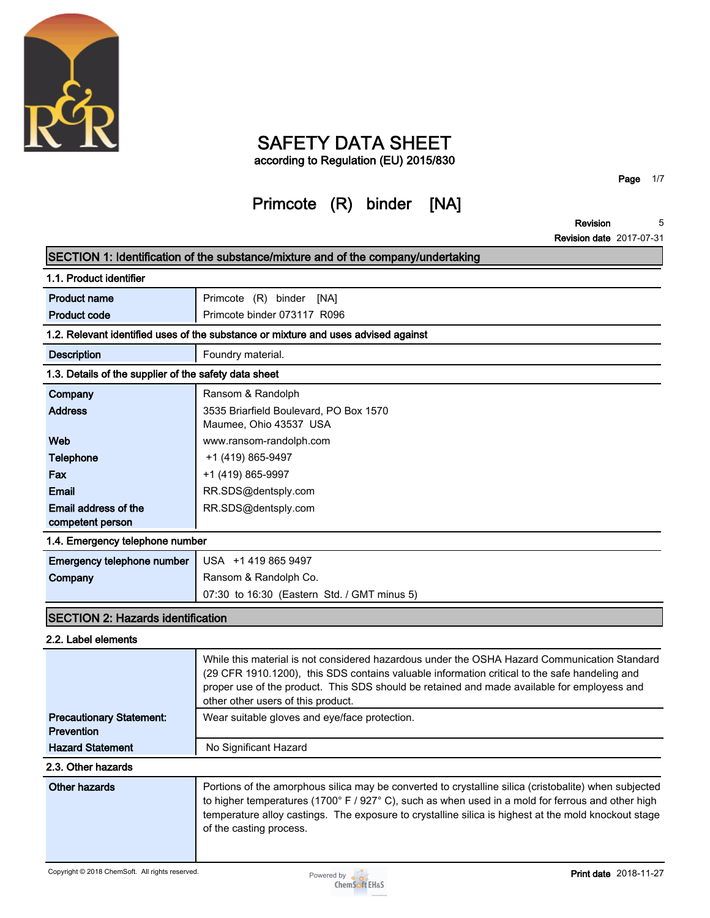

## **SAFETY DATA SHEET**

**according to Regulation (EU) 2015/830**

# **Primcote (R) binder [NA]**

**Page 1/7**

**Revision 5**

**Revision date 2017-07-31**

|                                                       | SECTION 1: Identification of the substance/mixture and of the company/undertaking                                                                                                                                                                                                                                                             |
|-------------------------------------------------------|-----------------------------------------------------------------------------------------------------------------------------------------------------------------------------------------------------------------------------------------------------------------------------------------------------------------------------------------------|
| 1.1. Product identifier                               |                                                                                                                                                                                                                                                                                                                                               |
| <b>Product name</b>                                   | Primcote (R) binder [NA]                                                                                                                                                                                                                                                                                                                      |
| <b>Product code</b>                                   | Primcote binder 073117 R096                                                                                                                                                                                                                                                                                                                   |
|                                                       | 1.2. Relevant identified uses of the substance or mixture and uses advised against                                                                                                                                                                                                                                                            |
| <b>Description</b>                                    | Foundry material.                                                                                                                                                                                                                                                                                                                             |
| 1.3. Details of the supplier of the safety data sheet |                                                                                                                                                                                                                                                                                                                                               |
| Company                                               | Ransom & Randolph                                                                                                                                                                                                                                                                                                                             |
| <b>Address</b>                                        | 3535 Briarfield Boulevard, PO Box 1570                                                                                                                                                                                                                                                                                                        |
|                                                       | Maumee, Ohio 43537 USA                                                                                                                                                                                                                                                                                                                        |
| Web                                                   | www.ransom-randolph.com                                                                                                                                                                                                                                                                                                                       |
| Telephone                                             | +1 (419) 865-9497                                                                                                                                                                                                                                                                                                                             |
| Fax                                                   | +1 (419) 865-9997                                                                                                                                                                                                                                                                                                                             |
| <b>Email</b>                                          | RR.SDS@dentsply.com                                                                                                                                                                                                                                                                                                                           |
| Email address of the                                  | RR.SDS@dentsply.com                                                                                                                                                                                                                                                                                                                           |
| competent person                                      |                                                                                                                                                                                                                                                                                                                                               |
| 1.4. Emergency telephone number                       |                                                                                                                                                                                                                                                                                                                                               |
| Emergency telephone number                            | USA +1 419 865 9497                                                                                                                                                                                                                                                                                                                           |
| Company                                               | Ransom & Randolph Co.                                                                                                                                                                                                                                                                                                                         |
|                                                       | 07:30 to 16:30 (Eastern Std. / GMT minus 5)                                                                                                                                                                                                                                                                                                   |
| <b>SECTION 2: Hazards identification</b>              |                                                                                                                                                                                                                                                                                                                                               |
| 2.2. Label elements                                   |                                                                                                                                                                                                                                                                                                                                               |
|                                                       | While this material is not considered hazardous under the OSHA Hazard Communication Standard<br>(29 CFR 1910.1200), this SDS contains valuable information critical to the safe handeling and<br>proper use of the product. This SDS should be retained and made available for employess and<br>other other users of this product.            |
| <b>Precautionary Statement:</b><br>Prevention         | Wear suitable gloves and eye/face protection.                                                                                                                                                                                                                                                                                                 |
| <b>Hazard Statement</b>                               | No Significant Hazard                                                                                                                                                                                                                                                                                                                         |
| 2.3. Other hazards                                    |                                                                                                                                                                                                                                                                                                                                               |
| Other hazards                                         | Portions of the amorphous silica may be converted to crystalline silica (cristobalite) when subjected<br>to higher temperatures (1700° F / 927° C), such as when used in a mold for ferrous and other high<br>temperature alloy castings. The exposure to crystalline silica is highest at the mold knockout stage<br>of the casting process. |
| Copyright © 2018 ChemSoft. All rights reserved.       | <b>Print date</b> 2018-11-27<br>Powered by <b>o</b> o o<br><b>ChemSoft EH&amp;S</b>                                                                                                                                                                                                                                                           |

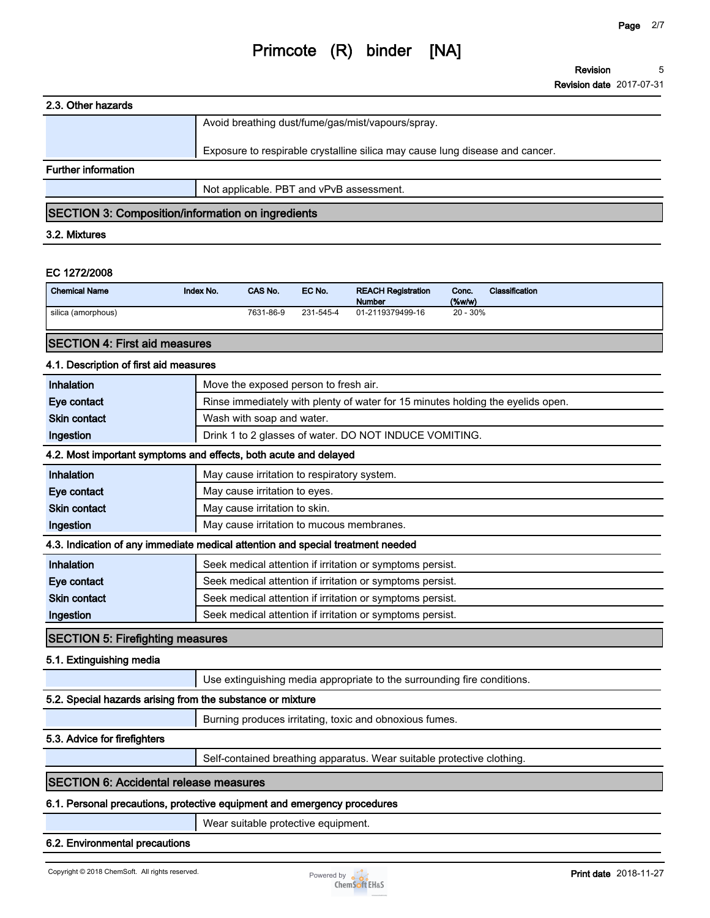**Revision 5**

**Revision date 2017-07-31**

### **2.3. Other hazards**

|                            | Avoid breathing dust/fume/gas/mist/vapours/spray.                            |
|----------------------------|------------------------------------------------------------------------------|
|                            | Exposure to respirable crystalline silica may cause lung disease and cancer. |
| <b>Further information</b> |                                                                              |
|                            | Not applicable. PBT and vPvB assessment.                                     |

### **SECTION 3: Composition/information on ingredients**

### **3.2. Mixtures**

#### **EC 1272/2008**

| <b>Chemical Name</b> | Index No. | CAS No.   | EC No.    | <b>REACH Registration</b><br><b>Number</b> | Conc.<br>(% | <b>Classification</b> |
|----------------------|-----------|-----------|-----------|--------------------------------------------|-------------|-----------------------|
| silica (amorphous)   |           | 7631-86-9 | 231-545-4 | 01-2119379499-16                           | $20 - 30\%$ |                       |

### **SECTION 4: First aid measures**

### **4.1. Description of first aid measures**

| Inhalation          | Move the exposed person to fresh air.                                           |
|---------------------|---------------------------------------------------------------------------------|
| Eye contact         | Rinse immediately with plenty of water for 15 minutes holding the eyelids open. |
| <b>Skin contact</b> | Wash with soap and water.                                                       |
| Ingestion           | Drink 1 to 2 glasses of water. DO NOT INDUCE VOMITING.                          |

### **4.2. Most important symptoms and effects, both acute and delayed**

| 7.2. MOSt important symptoms and enects, both acute and delayed                 |                                                           |  |
|---------------------------------------------------------------------------------|-----------------------------------------------------------|--|
| <b>Inhalation</b>                                                               | May cause irritation to respiratory system.               |  |
| Eye contact                                                                     | May cause irritation to eyes.                             |  |
| <b>Skin contact</b>                                                             | May cause irritation to skin.                             |  |
| Ingestion                                                                       | May cause irritation to mucous membranes.                 |  |
| 4.3. Indication of any immediate medical attention and special treatment needed |                                                           |  |
| <b>Inhalation</b>                                                               | Seek medical attention if irritation or symptoms persist. |  |
| Eye contact                                                                     | Seek medical attention if irritation or symptoms persist. |  |
| <b>Skin contact</b>                                                             | Seek medical attention if irritation or symptoms persist. |  |
| Ingestion                                                                       | Seek medical attention if irritation or symptoms persist. |  |

### **SECTION 5: Firefighting measures**

### **5.1. Extinguishing media**

**Use extinguishing media appropriate to the surrounding fire conditions.**

### **5.2. Special hazards arising from the substance or mixture**

**Burning produces irritating, toxic and obnoxious fumes.**

### **5.3. Advice for firefighters**

**Self-contained breathing apparatus. Wear suitable protective clothing.**

### **SECTION 6: Accidental release measures**

### **6.1. Personal precautions, protective equipment and emergency procedures**

**Wear suitable protective equipment.**

### **6.2. Environmental precautions**

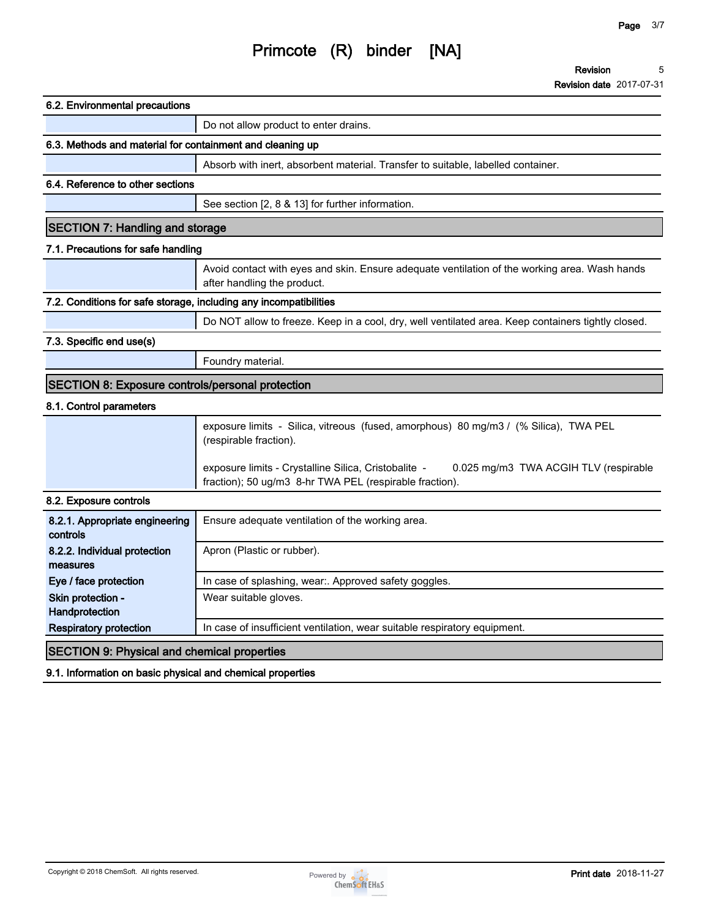**Revision 5**

**Revision date 2017-07-31**

| 6.2. Environmental precautions                                    |                                                                                                                                                          |
|-------------------------------------------------------------------|----------------------------------------------------------------------------------------------------------------------------------------------------------|
|                                                                   | Do not allow product to enter drains.                                                                                                                    |
| 6.3. Methods and material for containment and cleaning up         |                                                                                                                                                          |
|                                                                   | Absorb with inert, absorbent material. Transfer to suitable, labelled container.                                                                         |
| 6.4. Reference to other sections                                  |                                                                                                                                                          |
|                                                                   | See section [2, 8 & 13] for further information.                                                                                                         |
| <b>SECTION 7: Handling and storage</b>                            |                                                                                                                                                          |
| 7.1. Precautions for safe handling                                |                                                                                                                                                          |
|                                                                   | Avoid contact with eyes and skin. Ensure adequate ventilation of the working area. Wash hands<br>after handling the product.                             |
| 7.2. Conditions for safe storage, including any incompatibilities |                                                                                                                                                          |
|                                                                   | Do NOT allow to freeze. Keep in a cool, dry, well ventilated area. Keep containers tightly closed.                                                       |
| 7.3. Specific end use(s)                                          |                                                                                                                                                          |
|                                                                   | Foundry material.                                                                                                                                        |
| <b>SECTION 8: Exposure controls/personal protection</b>           |                                                                                                                                                          |
| 8.1. Control parameters                                           |                                                                                                                                                          |
|                                                                   | exposure limits - Silica, vitreous (fused, amorphous) 80 mg/m3 / (% Silica), TWA PEL<br>(respirable fraction).                                           |
|                                                                   | exposure limits - Crystalline Silica, Cristobalite -<br>0.025 mg/m3 TWA ACGIH TLV (respirable<br>fraction); 50 ug/m3 8-hr TWA PEL (respirable fraction). |
| 8.2. Exposure controls                                            |                                                                                                                                                          |
| 8.2.1. Appropriate engineering<br>controls                        | Ensure adequate ventilation of the working area.                                                                                                         |
| 8.2.2. Individual protection<br>measures                          | Apron (Plastic or rubber).                                                                                                                               |
| Eye / face protection                                             | In case of splashing, wear:. Approved safety goggles.                                                                                                    |
| Skin protection -<br>Handprotection                               | Wear suitable gloves.                                                                                                                                    |
| <b>Respiratory protection</b>                                     | In case of insufficient ventilation, wear suitable respiratory equipment.                                                                                |
| <b>SECTION 9: Physical and chemical properties</b>                |                                                                                                                                                          |
| 9.1. Information on basic physical and chemical properties        |                                                                                                                                                          |

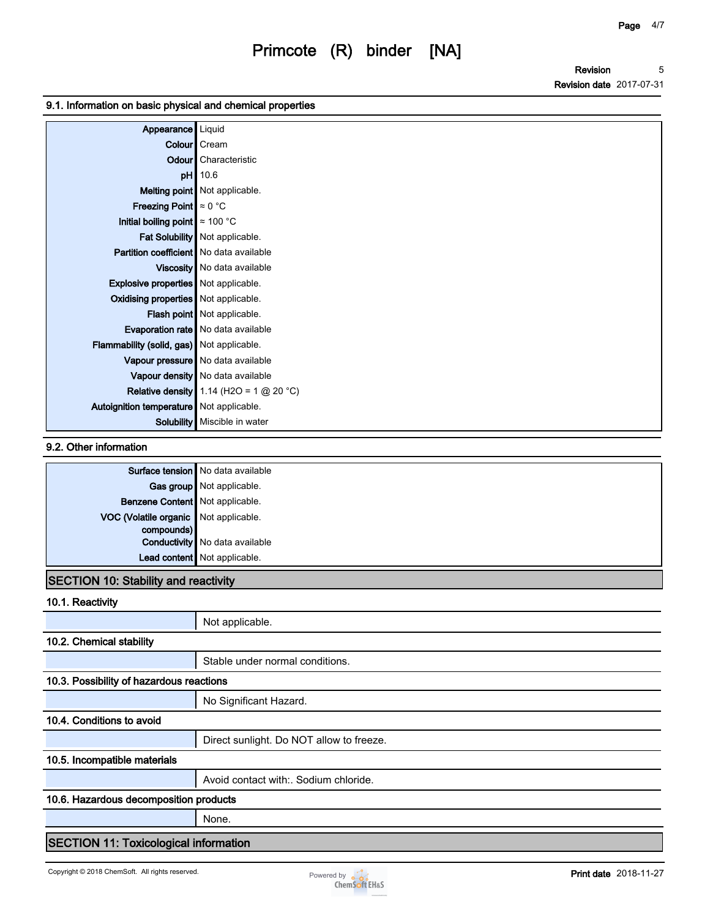**Revision Revision date 2017-07-31 5**

### **9.1. Information on basic physical and chemical properties**

| Appearance   Liquid                         |                                           |
|---------------------------------------------|-------------------------------------------|
|                                             | Colour   Cream                            |
|                                             | <b>Odour</b> Characteristic               |
|                                             | pH 10.6                                   |
|                                             | <b>Melting point</b> Not applicable.      |
| <b>Freezing Point</b> $\approx 0$ °C        |                                           |
| Initial boiling point $\approx 100$ °C      |                                           |
|                                             | Fat Solubility Not applicable.            |
| Partition coefficient   No data available   |                                           |
|                                             | Viscosity   No data available             |
| <b>Explosive properties</b> Not applicable. |                                           |
| Oxidising properties   Not applicable.      |                                           |
|                                             | Flash point Not applicable.               |
|                                             | Evaporation rate   No data available      |
| Flammability (solid, gas) Not applicable.   |                                           |
|                                             | Vapour pressure   No data available       |
|                                             | Vapour density   No data available        |
|                                             | Relative density 1.14 (H2O = 1 $@$ 20 °C) |
| Autoignition temperature   Not applicable.  |                                           |
|                                             | Solubility   Miscible in water            |

### **9.2. Other information**

|                                       | Surface tension   No data available   |
|---------------------------------------|---------------------------------------|
|                                       | Gas group Not applicable.             |
| Benzene Content Not applicable.       |                                       |
| VOC (Volatile organic Not applicable. |                                       |
| compounds)                            |                                       |
|                                       | <b>Conductivity</b> No data available |
|                                       | Lead content Not applicable.          |

### **SECTION 10: Stability and reactivity**

**10.1. Reactivity**

|                                              | Not applicable.                          |  |  |
|----------------------------------------------|------------------------------------------|--|--|
| 10.2. Chemical stability                     |                                          |  |  |
|                                              | Stable under normal conditions.          |  |  |
| 10.3. Possibility of hazardous reactions     |                                          |  |  |
|                                              | No Significant Hazard.                   |  |  |
| 10.4. Conditions to avoid                    |                                          |  |  |
|                                              | Direct sunlight. Do NOT allow to freeze. |  |  |
| 10.5. Incompatible materials                 |                                          |  |  |
|                                              | Avoid contact with: Sodium chloride.     |  |  |
| 10.6. Hazardous decomposition products       |                                          |  |  |
|                                              | None.                                    |  |  |
| <b>SECTION 11: Toxicological information</b> |                                          |  |  |

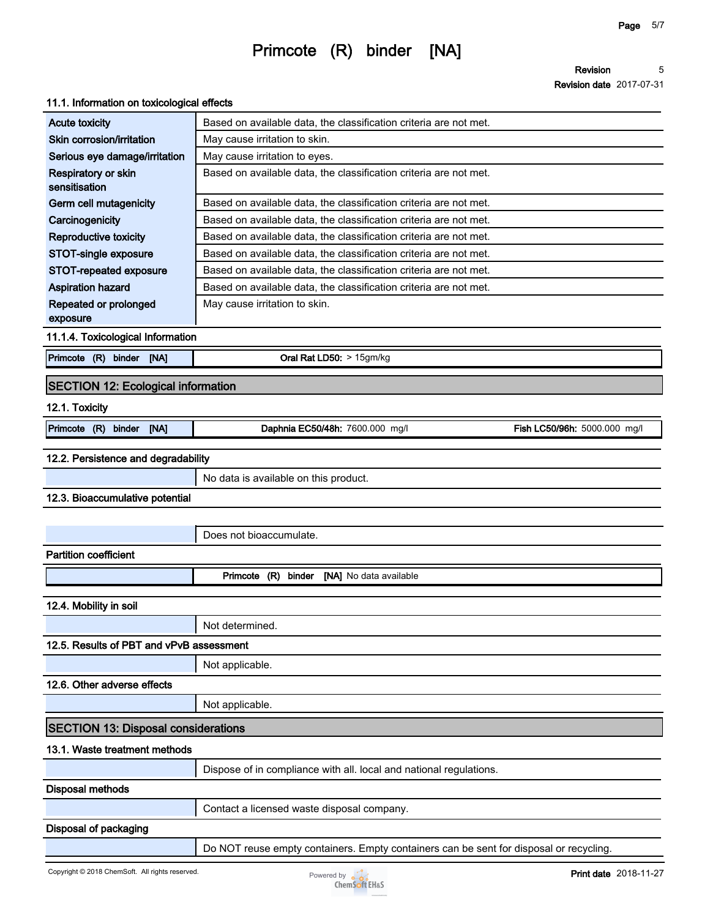**Revision 5**

**Revision date 2017-07-31**

### **11.1. Information on toxicological effects**

| <b>Acute toxicity</b>                      | Based on available data, the classification criteria are not met.                      |
|--------------------------------------------|----------------------------------------------------------------------------------------|
| Skin corrosion/irritation                  | May cause irritation to skin.                                                          |
| Serious eye damage/irritation              | May cause irritation to eyes.                                                          |
| Respiratory or skin<br>sensitisation       | Based on available data, the classification criteria are not met.                      |
| Germ cell mutagenicity                     | Based on available data, the classification criteria are not met.                      |
| Carcinogenicity                            | Based on available data, the classification criteria are not met.                      |
| <b>Reproductive toxicity</b>               | Based on available data, the classification criteria are not met.                      |
| STOT-single exposure                       | Based on available data, the classification criteria are not met.                      |
| STOT-repeated exposure                     | Based on available data, the classification criteria are not met.                      |
| <b>Aspiration hazard</b>                   | Based on available data, the classification criteria are not met.                      |
| Repeated or prolonged                      | May cause irritation to skin.                                                          |
| exposure                                   |                                                                                        |
| 11.1.4. Toxicological Information          |                                                                                        |
| Primcote (R) binder [NA]                   | Oral Rat LD50: > 15gm/kg                                                               |
| <b>SECTION 12: Ecological information</b>  |                                                                                        |
| 12.1. Toxicity                             |                                                                                        |
| Primcote (R)<br>binder<br>[NA]             | Daphnia EC50/48h: 7600.000 mg/l<br>Fish LC50/96h: 5000.000 mg/l                        |
| 12.2. Persistence and degradability        |                                                                                        |
|                                            | No data is available on this product.                                                  |
| 12.3. Bioaccumulative potential            |                                                                                        |
|                                            |                                                                                        |
|                                            |                                                                                        |
|                                            | Does not bioaccumulate.                                                                |
| <b>Partition coefficient</b>               |                                                                                        |
|                                            | Primcote (R) binder [NA] No data available                                             |
| 12.4. Mobility in soil                     |                                                                                        |
|                                            | Not determined.                                                                        |
| 12.5. Results of PBT and vPvB assessment   |                                                                                        |
|                                            | Not applicable.                                                                        |
| 12.6. Other adverse effects                |                                                                                        |
|                                            | Not applicable.                                                                        |
| <b>SECTION 13: Disposal considerations</b> |                                                                                        |
| 13.1. Waste treatment methods              |                                                                                        |
|                                            | Dispose of in compliance with all. local and national regulations.                     |
| Disposal methods                           |                                                                                        |
|                                            | Contact a licensed waste disposal company.                                             |
| Disposal of packaging                      |                                                                                        |
|                                            | Do NOT reuse empty containers. Empty containers can be sent for disposal or recycling. |
|                                            |                                                                                        |

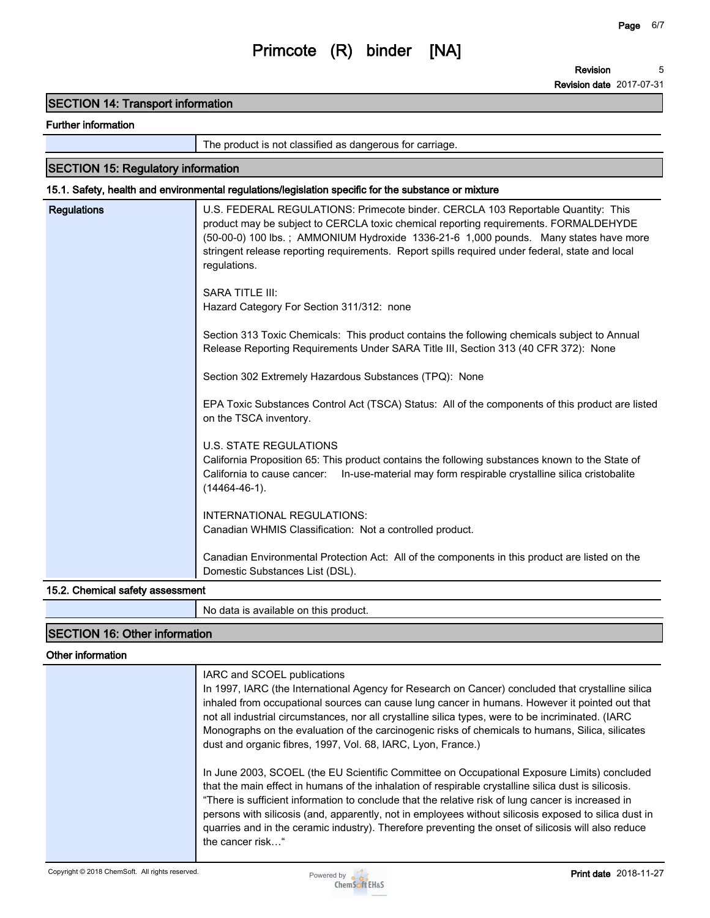### **SECTION 14: Transport information**

### **Further information**

**The product is not classified as dangerous for carriage.**

### **SECTION 15: Regulatory information**

### **15.1. Safety, health and environmental regulations/legislation specific for the substance or mixture**

| U.S. FEDERAL REGULATIONS: Primecote binder. CERCLA 103 Reportable Quantity: This                                                                                                                                                                                                                |
|-------------------------------------------------------------------------------------------------------------------------------------------------------------------------------------------------------------------------------------------------------------------------------------------------|
| product may be subject to CERCLA toxic chemical reporting requirements. FORMALDEHYDE<br>(50-00-0) 100 lbs.; AMMONIUM Hydroxide 1336-21-6 1,000 pounds. Many states have more<br>stringent release reporting requirements. Report spills required under federal, state and local<br>regulations. |
| <b>SARA TITLE III:</b><br>Hazard Category For Section 311/312: none                                                                                                                                                                                                                             |
| Section 313 Toxic Chemicals: This product contains the following chemicals subject to Annual<br>Release Reporting Requirements Under SARA Title III, Section 313 (40 CFR 372): None                                                                                                             |
| Section 302 Extremely Hazardous Substances (TPQ): None                                                                                                                                                                                                                                          |
| EPA Toxic Substances Control Act (TSCA) Status: All of the components of this product are listed<br>on the TSCA inventory.                                                                                                                                                                      |
| <b>U.S. STATE REGULATIONS</b><br>California Proposition 65: This product contains the following substances known to the State of<br>California to cause cancer:<br>In-use-material may form respirable crystalline silica cristobalite<br>$(14464 - 46 - 1)$ .                                  |
| <b>INTERNATIONAL REGULATIONS:</b><br>Canadian WHMIS Classification: Not a controlled product.                                                                                                                                                                                                   |
| Canadian Environmental Protection Act: All of the components in this product are listed on the<br>Domestic Substances List (DSL).                                                                                                                                                               |
|                                                                                                                                                                                                                                                                                                 |

### **15.2. Chemical safety assessment**

**No data is available on this product.**

### **SECTION 16: Other information**

### **Other information**

| IARC and SCOEL publications<br>In 1997, IARC (the International Agency for Research on Cancer) concluded that crystalline silica                                                                                                                                                                                                                                                                                                                                                                                                              |
|-----------------------------------------------------------------------------------------------------------------------------------------------------------------------------------------------------------------------------------------------------------------------------------------------------------------------------------------------------------------------------------------------------------------------------------------------------------------------------------------------------------------------------------------------|
| inhaled from occupational sources can cause lung cancer in humans. However it pointed out that<br>not all industrial circumstances, nor all crystalline silica types, were to be incriminated. (IARC                                                                                                                                                                                                                                                                                                                                          |
| Monographs on the evaluation of the carcinogenic risks of chemicals to humans, Silica, silicates<br>dust and organic fibres, 1997, Vol. 68, IARC, Lyon, France.)                                                                                                                                                                                                                                                                                                                                                                              |
| In June 2003, SCOEL (the EU Scientific Committee on Occupational Exposure Limits) concluded<br>that the main effect in humans of the inhalation of respirable crystalline silica dust is silicosis.<br>"There is sufficient information to conclude that the relative risk of lung cancer is increased in<br>persons with silicosis (and, apparently, not in employees without silicosis exposed to silica dust in<br>quarries and in the ceramic industry). Therefore preventing the onset of silicosis will also reduce<br>the cancer risk" |